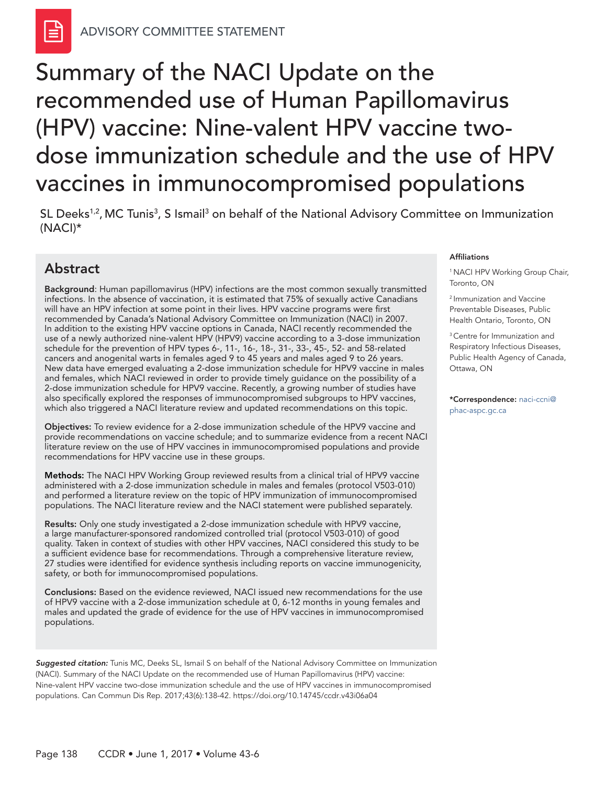# Summary of the NACI Update on the recommended use of Human Papillomavirus (HPV) vaccine: Nine-valent HPV vaccine twodose immunization schedule and the use of HPV vaccines in immunocompromised populations

## Abstract

Background: Human papillomavirus (HPV) infections are the most common sexually transmitted infections. In the absence of vaccination, it is estimated that 75% of sexually active Canadians will have an HPV infection at some point in their lives. HPV vaccine programs were first recommended by Canada's National Advisory Committee on Immunization (NACI) in 2007. In addition to the existing HPV vaccine options in Canada, NACI recently recommended the use of a newly authorized nine-valent HPV (HPV9) vaccine according to a 3-dose immunization schedule for the prevention of HPV types 6-, 11-, 16-, 18-, 31-, 33-, 45-, 52- and 58-related cancers and anogenital warts in females aged 9 to 45 years and males aged 9 to 26 years. New data have emerged evaluating a 2-dose immunization schedule for HPV9 vaccine in males and females, which NACI reviewed in order to provide timely guidance on the possibility of a 2-dose immunization schedule for HPV9 vaccine. Recently, a growing number of studies have also specifically explored the responses of immunocompromised subgroups to HPV vaccines, which also triggered a NACI literature review and updated recommendations on this topic.

Objectives: To review evidence for a 2-dose immunization schedule of the HPV9 vaccine and provide recommendations on vaccine schedule; and to summarize evidence from a recent NACI literature review on the use of HPV vaccines in immunocompromised populations and provide recommendations for HPV vaccine use in these groups.

Methods: The NACI HPV Working Group reviewed results from a clinical trial of HPV9 vaccine administered with a 2-dose immunization schedule in males and females (protocol V503-010) and performed a literature review on the topic of HPV immunization of immunocompromised populations. The NACI literature review and the NACI statement were published separately.

Results: Only one study investigated a 2-dose immunization schedule with HPV9 vaccine, a large manufacturer-sponsored randomized controlled trial (protocol V503-010) of good quality. Taken in context of studies with other HPV vaccines, NACI considered this study to be a sufficient evidence base for recommendations. Through a comprehensive literature review, 27 studies were identified for evidence synthesis including reports on vaccine immunogenicity, safety, or both for immunocompromised populations.

Conclusions: Based on the evidence reviewed, NACI issued new recommendations for the use of HPV9 vaccine with a 2-dose immunization schedule at 0, 6-12 months in young females and males and updated the grade of evidence for the use of HPV vaccines in immunocompromised populations.

*Suggested citation:* Tunis MC, Deeks SL, Ismail S on behalf of the National Advisory Committee on Immunization (NACI). Summary of the NACI Update on the recommended use of Human Papillomavirus (HPV) vaccine: Nine-valent HPV vaccine two-dose immunization schedule and the use of HPV vaccines in immunocompromised populations. Can Commun Dis Rep. 2017;43(6):138-42.<https://doi.org/10.14745/ccdr.v43i06a04>

#### Affiliations

<sup>1</sup> NACI HPV Working Group Chair, Toronto, ON

2 Immunization and Vaccine Preventable Diseases, Public Health Ontario, Toronto, ON

<sup>3</sup> Centre for Immunization and Respiratory Infectious Diseases, Public Health Agency of Canada, Ottawa, ON

\*Correspondence: [naci-ccni@](mailto:naci-ccni%40phac-aspc.gc.ca?subject=naci-ccni%40phac-aspc.gc.ca) [phac-aspc.gc.ca](mailto:naci-ccni%40phac-aspc.gc.ca?subject=naci-ccni%40phac-aspc.gc.ca)

SL Deeks<sup>1,2</sup>, MC Tunis<sup>3</sup>, S Ismail<sup>3</sup> on behalf of the National Advisory Committee on Immunization (NACI)\*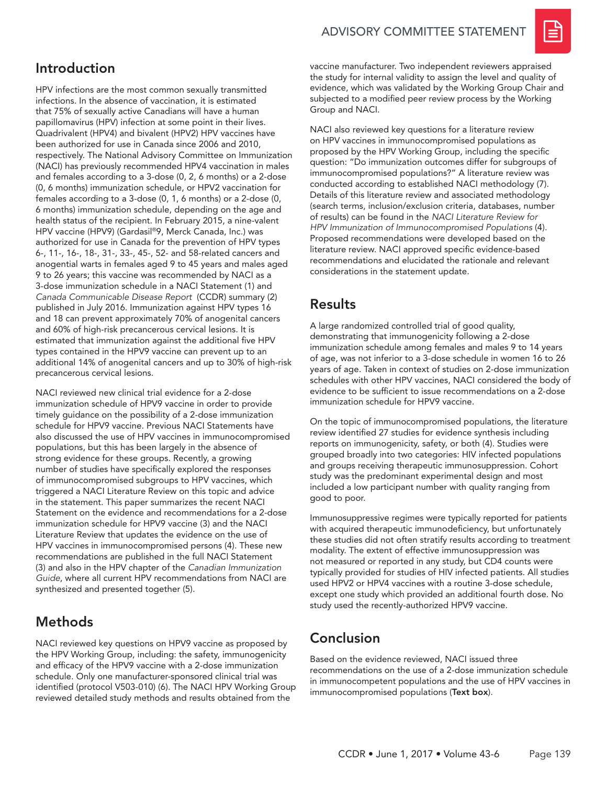

# Introduction

HPV infections are the most common sexually transmitted infections. In the absence of vaccination, it is estimated that 75% of sexually active Canadians will have a human papillomavirus (HPV) infection at some point in their lives. Quadrivalent (HPV4) and bivalent (HPV2) HPV vaccines have been authorized for use in Canada since 2006 and 2010, respectively. The National Advisory Committee on Immunization (NACI) has previously recommended HPV4 vaccination in males and females according to a 3-dose (0, 2, 6 months) or a 2-dose (0, 6 months) immunization schedule, or HPV2 vaccination for females according to a 3-dose (0, 1, 6 months) or a 2-dose (0, 6 months) immunization schedule, depending on the age and health status of the recipient. In February 2015, a nine-valent HPV vaccine (HPV9) (Gardasil®9, Merck Canada, Inc.) was authorized for use in Canada for the prevention of HPV types 6-, 11-, 16-, 18-, 31-, 33-, 45-, 52- and 58-related cancers and anogential warts in females aged 9 to 45 years and males aged 9 to 26 years; this vaccine was recommended by NACI as a 3-dose immunization schedule in a NACI Statement (1) and *Canada Communicable Disease Report* (CCDR) summary (2) published in July 2016. Immunization against HPV types 16 and 18 can prevent approximately 70% of anogenital cancers and 60% of high-risk precancerous cervical lesions. It is estimated that immunization against the additional five HPV types contained in the HPV9 vaccine can prevent up to an additional 14% of anogenital cancers and up to 30% of high-risk precancerous cervical lesions.

NACI reviewed new clinical trial evidence for a 2-dose immunization schedule of HPV9 vaccine in order to provide timely guidance on the possibility of a 2-dose immunization schedule for HPV9 vaccine. Previous NACI Statements have also discussed the use of HPV vaccines in immunocompromised populations, but this has been largely in the absence of strong evidence for these groups. Recently, a growing number of studies have specifically explored the responses of immunocompromised subgroups to HPV vaccines, which triggered a NACI Literature Review on this topic and advice in the statement. This paper summarizes the recent NACI Statement on the evidence and recommendations for a 2-dose immunization schedule for HPV9 vaccine (3) and the NACI Literature Review that updates the evidence on the use of HPV vaccines in immunocompromised persons (4). These new recommendations are published in the full NACI Statement (3) and also in the HPV chapter of the *Canadian Immunization Guide*, where all current HPV recommendations from NACI are synthesized and presented together (5).

# **Methods**

NACI reviewed key questions on HPV9 vaccine as proposed by the HPV Working Group, including: the safety, immunogenicity and efficacy of the HPV9 vaccine with a 2-dose immunization schedule. Only one manufacturer-sponsored clinical trial was identified (protocol V503-010) (6). The NACI HPV Working Group reviewed detailed study methods and results obtained from the

vaccine manufacturer. Two independent reviewers appraised the study for internal validity to assign the level and quality of evidence, which was validated by the Working Group Chair and subjected to a modified peer review process by the Working Group and NACI.

NACI also reviewed key questions for a literature review on HPV vaccines in immunocompromised populations as proposed by the HPV Working Group, including the specific question: "Do immunization outcomes differ for subgroups of immunocompromised populations?" A literature review was conducted according to established NACI methodology (7). Details of this literature review and associated methodology (search terms, inclusion/exclusion criteria, databases, number of results) can be found in the *NACI Literature Review for HPV Immunization of Immunocompromised Populations* (4). Proposed recommendations were developed based on the literature review. NACI approved specific evidence-based recommendations and elucidated the rationale and relevant considerations in the statement update.

# **Results**

A large randomized controlled trial of good quality, demonstrating that immunogenicity following a 2-dose immunization schedule among females and males 9 to 14 years of age, was not inferior to a 3-dose schedule in women 16 to 26 years of age. Taken in context of studies on 2-dose immunization schedules with other HPV vaccines, NACI considered the body of evidence to be sufficient to issue recommendations on a 2-dose immunization schedule for HPV9 vaccine.

On the topic of immunocompromised populations, the literature review identified 27 studies for evidence synthesis including reports on immunogenicity, safety, or both (4). Studies were grouped broadly into two categories: HIV infected populations and groups receiving therapeutic immunosuppression. Cohort study was the predominant experimental design and most included a low participant number with quality ranging from good to poor.

Immunosuppressive regimes were typically reported for patients with acquired therapeutic immunodeficiency, but unfortunately these studies did not often stratify results according to treatment modality. The extent of effective immunosuppression was not measured or reported in any study, but CD4 counts were typically provided for studies of HIV infected patients. All studies used HPV2 or HPV4 vaccines with a routine 3-dose schedule, except one study which provided an additional fourth dose. No study used the recently-authorized HPV9 vaccine.

# Conclusion

Based on the evidence reviewed, NACI issued three recommendations on the use of a 2-dose immunization schedule in immunocompetent populations and the use of HPV vaccines in immunocompromised populations (Text box).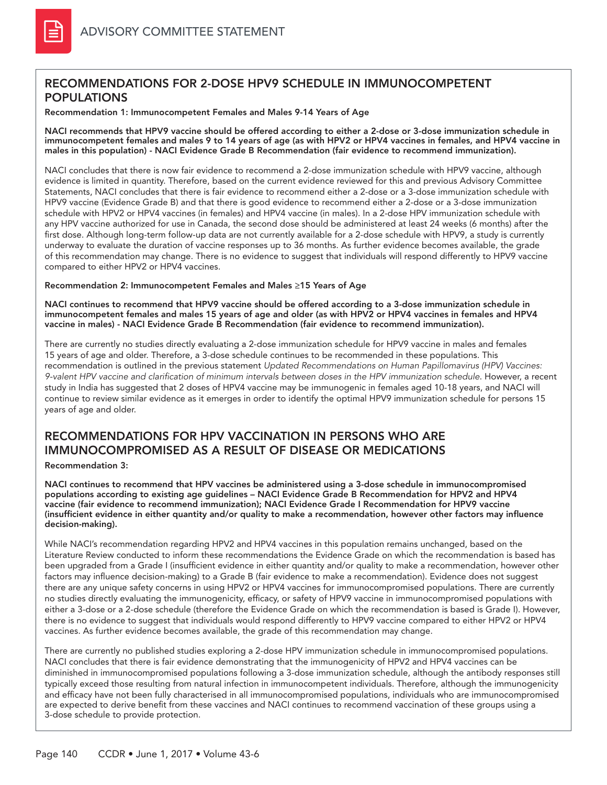## RECOMMENDATIONS FOR 2-DOSE HPV9 SCHEDULE IN IMMUNOCOMPETENT POPULATIONS

Recommendation 1: Immunocompetent Females and Males 9-14 Years of Age

NACI recommends that HPV9 vaccine should be offered according to either a 2-dose or 3-dose immunization schedule in immunocompetent females and males 9 to 14 years of age (as with HPV2 or HPV4 vaccines in females, and HPV4 vaccine in males in this population) - NACI Evidence Grade B Recommendation (fair evidence to recommend immunization).

NACI concludes that there is now fair evidence to recommend a 2-dose immunization schedule with HPV9 vaccine, although evidence is limited in quantity. Therefore, based on the current evidence reviewed for this and previous Advisory Committee Statements, NACI concludes that there is fair evidence to recommend either a 2-dose or a 3-dose immunization schedule with HPV9 vaccine (Evidence Grade B) and that there is good evidence to recommend either a 2-dose or a 3-dose immunization schedule with HPV2 or HPV4 vaccines (in females) and HPV4 vaccine (in males). In a 2-dose HPV immunization schedule with any HPV vaccine authorized for use in Canada, the second dose should be administered at least 24 weeks (6 months) after the first dose. Although long-term follow-up data are not currently available for a 2-dose schedule with HPV9, a study is currently underway to evaluate the duration of vaccine responses up to 36 months. As further evidence becomes available, the grade of this recommendation may change. There is no evidence to suggest that individuals will respond differently to HPV9 vaccine compared to either HPV2 or HPV4 vaccines.

#### Recommendation 2: Immunocompetent Females and Males ≥15 Years of Age

NACI continues to recommend that HPV9 vaccine should be offered according to a 3-dose immunization schedule in immunocompetent females and males 15 years of age and older (as with HPV2 or HPV4 vaccines in females and HPV4 vaccine in males) - NACI Evidence Grade B Recommendation (fair evidence to recommend immunization).

There are currently no studies directly evaluating a 2-dose immunization schedule for HPV9 vaccine in males and females 15 years of age and older. Therefore, a 3-dose schedule continues to be recommended in these populations. This recommendation is outlined in the previous statement *Updated Recommendations on Human Papillomavirus (HPV) Vaccines: 9-valent HPV vaccine and clarification of minimum intervals between doses in the HPV immunization schedule*. However, a recent study in India has suggested that 2 doses of HPV4 vaccine may be immunogenic in females aged 10-18 years, and NACI will continue to review similar evidence as it emerges in order to identify the optimal HPV9 immunization schedule for persons 15 years of age and older.

### RECOMMENDATIONS FOR HPV VACCINATION IN PERSONS WHO ARE IMMUNOCOMPROMISED AS A RESULT OF DISEASE OR MEDICATIONS

#### Recommendation 3:

NACI continues to recommend that HPV vaccines be administered using a 3-dose schedule in immunocompromised populations according to existing age guidelines – NACI Evidence Grade B Recommendation for HPV2 and HPV4 vaccine (fair evidence to recommend immunization); NACI Evidence Grade I Recommendation for HPV9 vaccine (insufficient evidence in either quantity and/or quality to make a recommendation, however other factors may influence decision-making).

While NACI's recommendation regarding HPV2 and HPV4 vaccines in this population remains unchanged, based on the Literature Review conducted to inform these recommendations the Evidence Grade on which the recommendation is based has been upgraded from a Grade I (insufficient evidence in either quantity and/or quality to make a recommendation, however other factors may influence decision-making) to a Grade B (fair evidence to make a recommendation). Evidence does not suggest there are any unique safety concerns in using HPV2 or HPV4 vaccines for immunocompromised populations. There are currently no studies directly evaluating the immunogenicity, efficacy, or safety of HPV9 vaccine in immunocompromised populations with either a 3-dose or a 2-dose schedule (therefore the Evidence Grade on which the recommendation is based is Grade I). However, there is no evidence to suggest that individuals would respond differently to HPV9 vaccine compared to either HPV2 or HPV4 vaccines. As further evidence becomes available, the grade of this recommendation may change.

There are currently no published studies exploring a 2-dose HPV immunization schedule in immunocompromised populations. NACI concludes that there is fair evidence demonstrating that the immunogenicity of HPV2 and HPV4 vaccines can be diminished in immunocompromised populations following a 3-dose immunization schedule, although the antibody responses still typically exceed those resulting from natural infection in immunocompetent individuals. Therefore, although the immunogenicity and efficacy have not been fully characterised in all immunocompromised populations, individuals who are immunocompromised are expected to derive benefit from these vaccines and NACI continues to recommend vaccination of these groups using a 3-dose schedule to provide protection.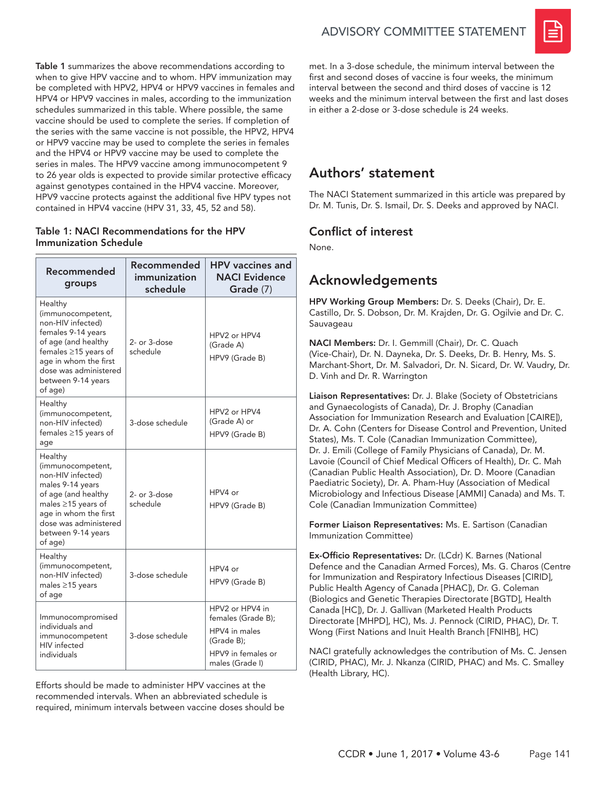Table 1 summarizes the above recommendations according to when to give HPV vaccine and to whom. HPV immunization may be completed with HPV2, HPV4 or HPV9 vaccines in females and HPV4 or HPV9 vaccines in males, according to the immunization schedules summarized in this table. Where possible, the same vaccine should be used to complete the series. If completion of the series with the same vaccine is not possible, the HPV2, HPV4 or HPV9 vaccine may be used to complete the series in females and the HPV4 or HPV9 vaccine may be used to complete the series in males. The HPV9 vaccine among immunocompetent 9 to 26 year olds is expected to provide similar protective efficacy against genotypes contained in the HPV4 vaccine. Moreover, HPV9 vaccine protects against the additional five HPV types not contained in HPV4 vaccine (HPV 31, 33, 45, 52 and 58).

#### Table 1: NACI Recommendations for the HPV Immunization Schedule

| Recommended<br>groups                                                                                                                                                                                           | Recommended<br>immunization<br>schedule | <b>HPV</b> vaccines and<br><b>NACI Evidence</b><br>Grade (7)                                                  |
|-----------------------------------------------------------------------------------------------------------------------------------------------------------------------------------------------------------------|-----------------------------------------|---------------------------------------------------------------------------------------------------------------|
| Healthy<br>(immunocompetent,<br>non-HIV infected)<br>females 9-14 years<br>of age (and healthy<br>females $\geq$ 15 years of<br>age in whom the first<br>dose was administered<br>between 9-14 years<br>of age) | 2- or 3-dose<br>schedule                | HPV2 or HPV4<br>(Grade A)<br>HPV9 (Grade B)                                                                   |
| Healthy<br>(immunocompetent,<br>non-HIV infected)<br>females ≥15 years of<br>age                                                                                                                                | 3-dose schedule                         | HPV <sub>2</sub> or HPV4<br>(Grade A) or<br>HPV9 (Grade B)                                                    |
| Healthy<br>(immunocompetent,<br>non-HIV infected)<br>males 9-14 years<br>of age (and healthy<br>males $\geq$ 15 years of<br>age in whom the first<br>dose was administered<br>between 9-14 years<br>of age)     | 2- or 3-dose<br>schedule                | HPV4 or<br>HPV9 (Grade B)                                                                                     |
| Healthy<br>(immunocompetent,<br>non-HIV infected)<br>males ≥15 years<br>of age                                                                                                                                  | 3-dose schedule                         | HPV4 or<br>HPV9 (Grade B)                                                                                     |
| Immunocompromised<br>individuals and<br>immunocompetent<br><b>HIV</b> infected<br>individuals                                                                                                                   | 3-dose schedule                         | HPV2 or HPV4 in<br>females (Grade B);<br>HPV4 in males<br>(Grade B);<br>HPV9 in females or<br>males (Grade I) |

Efforts should be made to administer HPV vaccines at the recommended intervals. When an abbreviated schedule is required, minimum intervals between vaccine doses should be



met. In a 3-dose schedule, the minimum interval between the first and second doses of vaccine is four weeks, the minimum interval between the second and third doses of vaccine is 12 weeks and the minimum interval between the first and last doses in either a 2-dose or 3-dose schedule is 24 weeks.

## Authors' statement

The NACI Statement summarized in this article was prepared by Dr. M. Tunis, Dr. S. Ismail, Dr. S. Deeks and approved by NACI.

#### Conflict of interest

None.

# Acknowledgements

HPV Working Group Members: Dr. S. Deeks (Chair), Dr. E. Castillo, Dr. S. Dobson, Dr. M. Krajden, Dr. G. Ogilvie and Dr. C. Sauvageau

NACI Members: Dr. I. Gemmill (Chair), Dr. C. Quach (Vice-Chair), Dr. N. Dayneka, Dr. S. Deeks, Dr. B. Henry, Ms. S. Marchant-Short, Dr. M. Salvadori, Dr. N. Sicard, Dr. W. Vaudry, Dr. D. Vinh and Dr. R. Warrington

Liaison Representatives: Dr. J. Blake (Society of Obstetricians and Gynaecologists of Canada), Dr. J. Brophy (Canadian Association for Immunization Research and Evaluation [CAIRE]), Dr. A. Cohn (Centers for Disease Control and Prevention, United States), Ms. T. Cole (Canadian Immunization Committee), Dr. J. Emili (College of Family Physicians of Canada), Dr. M. Lavoie (Council of Chief Medical Officers of Health), Dr. C. Mah (Canadian Public Health Association), Dr. D. Moore (Canadian Paediatric Society), Dr. A. Pham-Huy (Association of Medical Microbiology and Infectious Disease [AMMI] Canada) and Ms. T. Cole (Canadian Immunization Committee)

Former Liaison Representatives: Ms. E. Sartison (Canadian Immunization Committee)

Ex-Officio Representatives: Dr. (LCdr) K. Barnes (National Defence and the Canadian Armed Forces), Ms. G. Charos (Centre for Immunization and Respiratory Infectious Diseases [CIRID], Public Health Agency of Canada [PHAC]), Dr. G. Coleman (Biologics and Genetic Therapies Directorate [BGTD], Health Canada [HC]), Dr. J. Gallivan (Marketed Health Products Directorate [MHPD], HC), Ms. J. Pennock (CIRID, PHAC), Dr. T. Wong (First Nations and Inuit Health Branch [FNIHB], HC)

NACI gratefully acknowledges the contribution of Ms. C. Jensen (CIRID, PHAC), Mr. J. Nkanza (CIRID, PHAC) and Ms. C. Smalley (Health Library, HC).